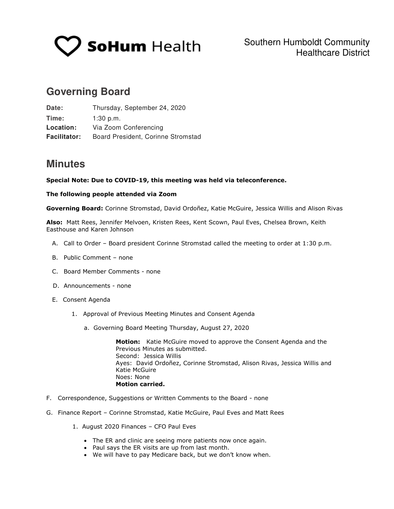

# **Governing Board**

| Date:               | Thursday, September 24, 2020       |
|---------------------|------------------------------------|
| Time:               | $1:30$ p.m.                        |
| Location:           | Via Zoom Conferencing              |
| <b>Facilitator:</b> | Board President, Corinne Stromstad |

## **Minutes**

## **Special Note: Due to COVID-19, this meeting was held via teleconference.**

## **The following people attended via Zoom**

**Governing Board:** Corinne Stromstad, David Ordoñez, Katie McGuire, Jessica Willis and Alison Rivas

**Also:** Matt Rees, Jennifer Melvoen, Kristen Rees, Kent Scown, Paul Eves, Chelsea Brown, Keith Easthouse and Karen Johnson

- A. Call to Order Board president Corinne Stromstad called the meeting to order at 1:30 p.m.
- B. Public Comment none
- C. Board Member Comments none
- D. Announcements none
- E. Consent Agenda
	- 1. Approval of Previous Meeting Minutes and Consent Agenda
		- a. Governing Board Meeting Thursday, August 27, 2020

**Motion:** Katie McGuire moved to approve the Consent Agenda and the Previous Minutes as submitted. Second: Jessica Willis Ayes: David Ordoñez, Corinne Stromstad, Alison Rivas, Jessica Willis and Katie McGuire Noes: None **Motion carried.** 

- F. Correspondence, Suggestions or Written Comments to the Board none
- G. Finance Report Corinne Stromstad, Katie McGuire, Paul Eves and Matt Rees
	- 1. August 2020 Finances CFO Paul Eves
		- The ER and clinic are seeing more patients now once again.
		- Paul says the ER visits are up from last month.
		- We will have to pay Medicare back, but we don't know when.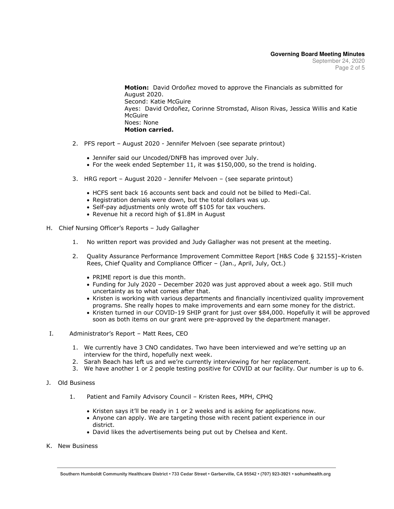**Motion:** David Ordoñez moved to approve the Financials as submitted for August 2020. Second: Katie McGuire Ayes: David Ordoñez, Corinne Stromstad, Alison Rivas, Jessica Willis and Katie McGuire Noes: None **Motion carried.** 

- 2. PFS report August 2020 Jennifer Melvoen (see separate printout)
	- Jennifer said our Uncoded/DNFB has improved over July.
	- For the week ended September 11, it was \$150,000, so the trend is holding.
- 3. HRG report August 2020 Jennifer Melvoen (see separate printout)
	- HCFS sent back 16 accounts sent back and could not be billed to Medi-Cal.
	- Registration denials were down, but the total dollars was up.
	- Self-pay adjustments only wrote off \$105 for tax vouchers.
	- Revenue hit a record high of \$1.8M in August
- H. Chief Nursing Officer's Reports Judy Gallagher
	- 1. No written report was provided and Judy Gallagher was not present at the meeting.
	- 2. Quality Assurance Performance Improvement Committee Report [H&S Code § 32155]–Kristen Rees, Chief Quality and Compliance Officer – (Jan., April, July, Oct.)
		- PRIME report is due this month.
		- Funding for July 2020 December 2020 was just approved about a week ago. Still much uncertainty as to what comes after that.
		- Kristen is working with various departments and financially incentivized quality improvement programs. She really hopes to make improvements and earn some money for the district.
		- Kristen turned in our COVID-19 SHIP grant for just over \$84,000. Hopefully it will be approved soon as both items on our grant were pre-approved by the department manager.
- I. Administrator's Report Matt Rees, CEO
	- 1. We currently have 3 CNO candidates. Two have been interviewed and we're setting up an interview for the third, hopefully next week.
	- 2. Sarah Beach has left us and we're currently interviewing for her replacement.
	- 3. We have another 1 or 2 people testing positive for COVID at our facility. Our number is up to 6.
- J. Old Business
	- 1. Patient and Family Advisory Council Kristen Rees, MPH, CPHQ
		- Kristen says it'll be ready in 1 or 2 weeks and is asking for applications now.
		- Anyone can apply. We are targeting those with recent patient experience in our district.
		- David likes the advertisements being put out by Chelsea and Kent.
- K. New Business

**Southern Humboldt Community Healthcare District • 733 Cedar Street • Garberville, CA 95542 • (707) 923-3921 • sohumhealth.org**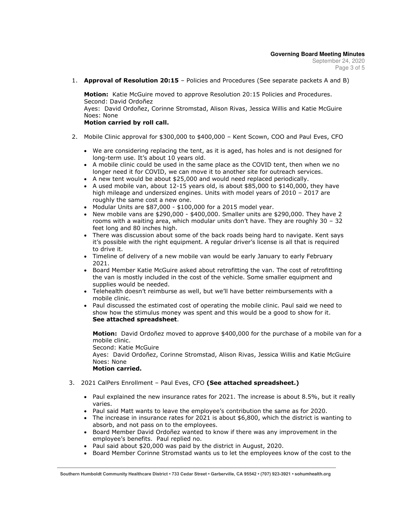1. **Approval of Resolution 20:15** – Policies and Procedures (See separate packets A and B)

**Motion:** Katie McGuire moved to approve Resolution 20:15 Policies and Procedures. Second: David Ordoñez Ayes: David Ordoñez, Corinne Stromstad, Alison Rivas, Jessica Willis and Katie McGuire Noes: None

## **Motion carried by roll call.**

- 2. Mobile Clinic approval for \$300,000 to \$400,000 Kent Scown, COO and Paul Eves, CFO
	- We are considering replacing the tent, as it is aged, has holes and is not designed for long-term use. It's about 10 years old.
	- A mobile clinic could be used in the same place as the COVID tent, then when we no longer need it for COVID, we can move it to another site for outreach services.
	- A new tent would be about \$25,000 and would need replaced periodically.
	- A used mobile van, about  $12-15$  years old, is about \$85,000 to \$140,000, they have high mileage and undersized engines. Units with model years of 2010 – 2017 are roughly the same cost a new one.
	- $\bullet$  Modular Units are \$87,000 \$100,000 for a 2015 model year.
	- New mobile vans are  $$290,000 $400,000$ . Smaller units are  $$290,000$ . They have 2 rooms with a waiting area, which modular units don't have. They are roughly 30 – 32 feet long and 80 inches high.
	- There was discussion about some of the back roads being hard to navigate. Kent says it's possible with the right equipment. A regular driver's license is all that is required to drive it.
	- Timeline of delivery of a new mobile van would be early January to early February 2021.
	- Board Member Katie McGuire asked about retrofitting the van. The cost of retrofitting the van is mostly included in the cost of the vehicle. Some smaller equipment and supplies would be needed.
	- Telehealth doesn't reimburse as well, but we'll have better reimbursements with a mobile clinic.
	- Paul discussed the estimated cost of operating the mobile clinic. Paul said we need to show how the stimulus money was spent and this would be a good to show for it. **See attached spreadsheet**.

**Motion:** David Ordoñez moved to approve \$400,000 for the purchase of a mobile van for a mobile clinic. Second: Katie McGuire

Ayes: David Ordoñez, Corinne Stromstad, Alison Rivas, Jessica Willis and Katie McGuire Noes: None

#### **Motion carried.**

- 3. 2021 CalPers Enrollment Paul Eves, CFO **(See attached spreadsheet.)**
	- Paul explained the new insurance rates for 2021. The increase is about 8.5%, but it really varies.
	- Paul said Matt wants to leave the employee's contribution the same as for 2020.
	- The increase in insurance rates for 2021 is about \$6,800, which the district is wanting to absorb, and not pass on to the employees.
	- Board Member David Ordoñez wanted to know if there was any improvement in the employee's benefits. Paul replied no.
	- Paul said about \$20,000 was paid by the district in August, 2020.
	- Board Member Corinne Stromstad wants us to let the employees know of the cost to the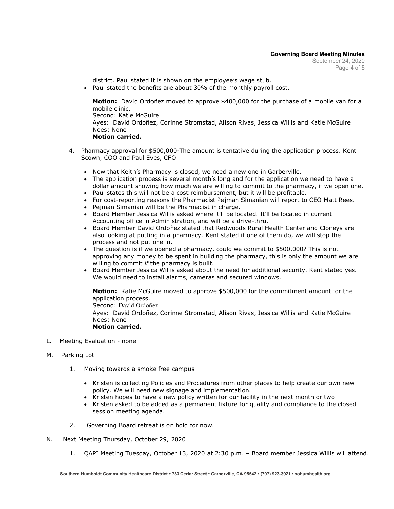district. Paul stated it is shown on the employee's wage stub.

Paul stated the benefits are about 30% of the monthly payroll cost.

**Motion:** David Ordoñez moved to approve \$400,000 for the purchase of a mobile van for a mobile clinic. Second: Katie McGuire Ayes: David Ordoñez, Corinne Stromstad, Alison Rivas, Jessica Willis and Katie McGuire Noes: None **Motion carried.** 

- 4. Pharmacy approval for \$500,000-The amount is tentative during the application process. Kent Scown, COO and Paul Eves, CFO
	- Now that Keith's Pharmacy is closed, we need a new one in Garberville.
	- The application process is several month's long and for the application we need to have a dollar amount showing how much we are willing to commit to the pharmacy, if we open one.
	- Paul states this will not be a cost reimbursement, but it will be profitable.
	- For cost-reporting reasons the Pharmacist Pejman Simanian will report to CEO Matt Rees.
	- Pejman Simanian will be the Pharmacist in charge.
	- Board Member Jessica Willis asked where it'll be located. It'll be located in current Accounting office in Administration, and will be a drive-thru.
	- Board Member David Ordoñez stated that Redwoods Rural Health Center and Cloneys are also looking at putting in a pharmacy. Kent stated if one of them do, we will stop the process and not put one in.
	- The question is if we opened a pharmacy, could we commit to \$500,000? This is not approving any money to be spent in building the pharmacy, this is only the amount we are willing to commit *if* the pharmacy is built.
	- Board Member Jessica Willis asked about the need for additional security. Kent stated yes. We would need to install alarms, cameras and secured windows.

**Motion:** Katie McGuire moved to approve \$500,000 for the commitment amount for the application process.

Second: David Ordoñez

Ayes: David Ordoñez, Corinne Stromstad, Alison Rivas, Jessica Willis and Katie McGuire Noes: None

#### **Motion carried.**

L. Meeting Evaluation - none

## M. Parking Lot

- 1. Moving towards a smoke free campus
	- Kristen is collecting Policies and Procedures from other places to help create our own new policy. We will need new signage and implementation.
	- $\bullet$  Kristen hopes to have a new policy written for our facility in the next month or two
	- Kristen asked to be added as a permanent fixture for quality and compliance to the closed session meeting agenda.
- 2. Governing Board retreat is on hold for now.
- N. Next Meeting Thursday, October 29, 2020
	- 1. QAPI Meeting Tuesday, October 13, 2020 at 2:30 p.m. Board member Jessica Willis will attend.